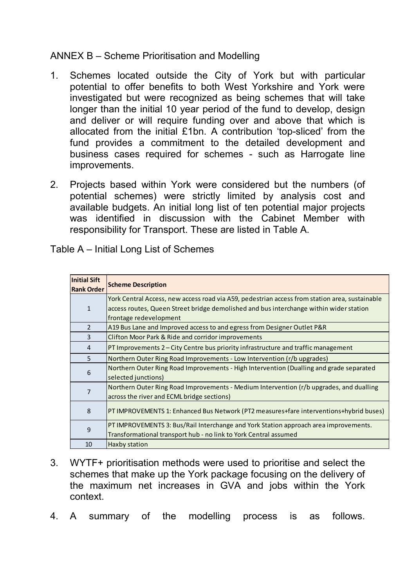## ANNEX B – Scheme Prioritisation and Modelling

- 1. Schemes located outside the City of York but with particular potential to offer benefits to both West Yorkshire and York were investigated but were recognized as being schemes that will take longer than the initial 10 year period of the fund to develop, design and deliver or will require funding over and above that which is allocated from the initial £1bn. A contribution 'top-sliced' from the fund provides a commitment to the detailed development and business cases required for schemes - such as Harrogate line improvements.
- 2. Projects based within York were considered but the numbers (of potential schemes) were strictly limited by analysis cost and available budgets. An initial long list of ten potential major projects was identified in discussion with the Cabinet Member with responsibility for Transport. These are listed in Table A.

| <b>Initial Sift</b><br><b>Rank Order</b> | <b>Scheme Description</b>                                                                      |
|------------------------------------------|------------------------------------------------------------------------------------------------|
| $\mathbf{1}$                             | York Central Access, new access road via A59, pedestrian access from station area, sustainable |
|                                          | access routes, Queen Street bridge demolished and bus interchange within wider station         |
|                                          | frontage redevelopment                                                                         |
| $\overline{2}$                           | A19 Bus Lane and Improved access to and egress from Designer Outlet P&R                        |
| $\overline{3}$                           | Clifton Moor Park & Ride and corridor improvements                                             |
| 4                                        | $PT$ Improvements 2 – City Centre bus priority infrastructure and traffic management           |
| 5                                        | Northern Outer Ring Road Improvements - Low Intervention (r/b upgrades)                        |
| 6                                        | Northern Outer Ring Road Improvements - High Intervention (Dualling and grade separated        |
|                                          | selected junctions)                                                                            |
| $\overline{7}$                           | Northern Outer Ring Road Improvements - Medium Intervention (r/b upgrades, and dualling        |
|                                          | across the river and ECML bridge sections)                                                     |
| 8                                        | PT IMPROVEMENTS 1: Enhanced Bus Network (PT2 measures+fare interventions+hybrid buses)         |
| 9                                        | PT IMPROVEMENTS 3: Bus/Rail Interchange and York Station approach area improvements.           |
|                                          | Transformational transport hub - no link to York Central assumed                               |
| 10                                       | Haxby station                                                                                  |

Table A – Initial Long List of Schemes

- 3. WYTF+ prioritisation methods were used to prioritise and select the schemes that make up the York package focusing on the delivery of the maximum net increases in GVA and jobs within the York context.
- 4. A summary of the modelling process is as follows.